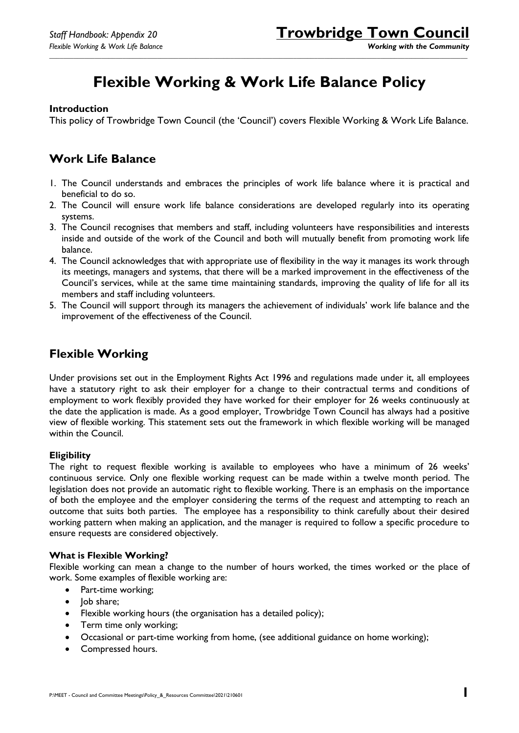# **Flexible Working & Work Life Balance Policy**

*\_\_\_\_\_\_\_\_\_\_\_\_\_\_\_\_\_\_\_\_\_\_\_\_\_\_\_\_\_\_\_\_\_\_\_\_\_\_\_\_\_\_\_\_\_\_\_\_\_\_\_\_\_\_\_\_\_\_\_\_\_\_\_\_\_\_\_\_\_\_\_\_\_\_\_\_\_\_\_\_\_\_\_\_\_\_\_\_\_\_\_\_\_\_\_\_\_\_\_\_\_\_\_\_\_\_\_\_\_\_\_\_\_\_\_\_\_\_\_\_*

#### **Introduction**

This policy of Trowbridge Town Council (the 'Council') covers Flexible Working & Work Life Balance.

### **Work Life Balance**

- 1. The Council understands and embraces the principles of work life balance where it is practical and beneficial to do so.
- 2. The Council will ensure work life balance considerations are developed regularly into its operating systems.
- 3. The Council recognises that members and staff, including volunteers have responsibilities and interests inside and outside of the work of the Council and both will mutually benefit from promoting work life balance.
- 4. The Council acknowledges that with appropriate use of flexibility in the way it manages its work through its meetings, managers and systems, that there will be a marked improvement in the effectiveness of the Council's services, while at the same time maintaining standards, improving the quality of life for all its members and staff including volunteers.
- 5. The Council will support through its managers the achievement of individuals' work life balance and the improvement of the effectiveness of the Council.

## **Flexible Working**

Under provisions set out in the Employment Rights Act 1996 and regulations made under it, all employees have a statutory right to ask their employer for a change to their contractual terms and conditions of employment to work flexibly provided they have worked for their employer for 26 weeks continuously at the date the application is made. As a good employer, Trowbridge Town Council has always had a positive view of flexible working. This statement sets out the framework in which flexible working will be managed within the Council.

#### **Eligibility**

The right to request flexible working is available to employees who have a minimum of 26 weeks' continuous service. Only one flexible working request can be made within a twelve month period. The legislation does not provide an automatic right to flexible working. There is an emphasis on the importance of both the employee and the employer considering the terms of the request and attempting to reach an outcome that suits both parties. The employee has a responsibility to think carefully about their desired working pattern when making an application, and the manager is required to follow a specific procedure to ensure requests are considered objectively.

#### **What is Flexible Working?**

Flexible working can mean a change to the number of hours worked, the times worked or the place of work. Some examples of flexible working are:

- Part-time working;
- Job share;
- Flexible working hours (the organisation has a detailed policy);
- Term time only working;
- Occasional or part-time working from home, (see additional guidance on home working);
- Compressed hours.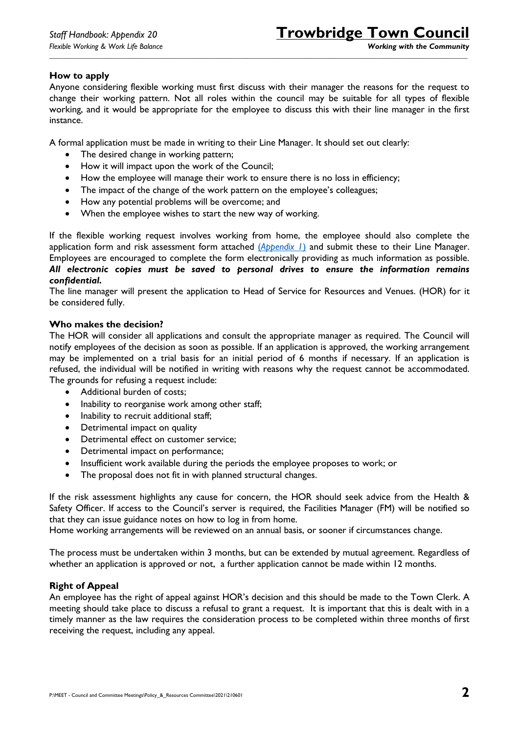#### **How to apply**

Anyone considering flexible working must first discuss with their manager the reasons for the request to change their working pattern. Not all roles within the council may be suitable for all types of flexible working, and it would be appropriate for the employee to discuss this with their line manager in the first instance.

*\_\_\_\_\_\_\_\_\_\_\_\_\_\_\_\_\_\_\_\_\_\_\_\_\_\_\_\_\_\_\_\_\_\_\_\_\_\_\_\_\_\_\_\_\_\_\_\_\_\_\_\_\_\_\_\_\_\_\_\_\_\_\_\_\_\_\_\_\_\_\_\_\_\_\_\_\_\_\_\_\_\_\_\_\_\_\_\_\_\_\_\_\_\_\_\_\_\_\_\_\_\_\_\_\_\_\_\_\_\_\_\_\_\_\_\_\_\_\_\_*

A formal application must be made in writing to their Line Manager. It should set out clearly:

- The desired change in working pattern;
- How it will impact upon the work of the Council;
- How the employee will manage their work to ensure there is no loss in efficiency;
- The impact of the change of the work pattern on the employee's colleagues;
- How any potential problems will be overcome; and
- When the employee wishes to start the new way of working.

If the flexible working request involves working from home, the employee should also complete the application form and risk assessment form attached (*[Appendix 1](#page-5-0)*) and submit these to their Line Manager. Employees are encouraged to complete the form electronically providing as much information as possible. *All electronic copies must be saved to personal drives to ensure the information remains confidential.*

The line manager will present the application to Head of Service for Resources and Venues. (HOR) for it be considered fully.

#### **Who makes the decision?**

The HOR will consider all applications and consult the appropriate manager as required. The Council will notify employees of the decision as soon as possible. If an application is approved, the working arrangement may be implemented on a trial basis for an initial period of 6 months if necessary. If an application is refused, the individual will be notified in writing with reasons why the request cannot be accommodated. The grounds for refusing a request include:

- Additional burden of costs;
- Inability to reorganise work among other staff;
- Inability to recruit additional staff;
- Detrimental impact on quality
- Detrimental effect on customer service;
- Detrimental impact on performance;
- Insufficient work available during the periods the employee proposes to work; or
- The proposal does not fit in with planned structural changes.

If the risk assessment highlights any cause for concern, the HOR should seek advice from the Health & Safety Officer. If access to the Council's server is required, the Facilities Manager (FM) will be notified so that they can issue guidance notes on how to log in from home.

Home working arrangements will be reviewed on an annual basis, or sooner if circumstances change.

The process must be undertaken within 3 months, but can be extended by mutual agreement. Regardless of whether an application is approved or not, a further application cannot be made within 12 months.

#### **Right of Appeal**

An employee has the right of appeal against HOR's decision and this should be made to the Town Clerk. A meeting should take place to discuss a refusal to grant a request. It is important that this is dealt with in a timely manner as the law requires the consideration process to be completed within three months of first receiving the request, including any appeal.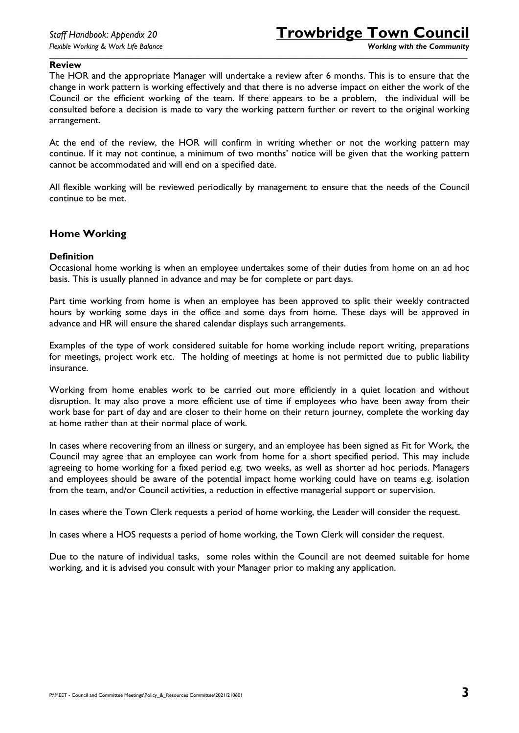#### **Review**

The HOR and the appropriate Manager will undertake a review after 6 months. This is to ensure that the change in work pattern is working effectively and that there is no adverse impact on either the work of the Council or the efficient working of the team. If there appears to be a problem, the individual will be consulted before a decision is made to vary the working pattern further or revert to the original working arrangement.

*\_\_\_\_\_\_\_\_\_\_\_\_\_\_\_\_\_\_\_\_\_\_\_\_\_\_\_\_\_\_\_\_\_\_\_\_\_\_\_\_\_\_\_\_\_\_\_\_\_\_\_\_\_\_\_\_\_\_\_\_\_\_\_\_\_\_\_\_\_\_\_\_\_\_\_\_\_\_\_\_\_\_\_\_\_\_\_\_\_\_\_\_\_\_\_\_\_\_\_\_\_\_\_\_\_\_\_\_\_\_\_\_\_\_\_\_\_\_\_\_*

At the end of the review, the HOR will confirm in writing whether or not the working pattern may continue. If it may not continue, a minimum of two months' notice will be given that the working pattern cannot be accommodated and will end on a specified date.

All flexible working will be reviewed periodically by management to ensure that the needs of the Council continue to be met.

#### **Home Working**

#### **Definition**

Occasional home working is when an employee undertakes some of their duties from home on an ad hoc basis. This is usually planned in advance and may be for complete or part days.

Part time working from home is when an employee has been approved to split their weekly contracted hours by working some days in the office and some days from home. These days will be approved in advance and HR will ensure the shared calendar displays such arrangements.

Examples of the type of work considered suitable for home working include report writing, preparations for meetings, project work etc. The holding of meetings at home is not permitted due to public liability insurance.

Working from home enables work to be carried out more efficiently in a quiet location and without disruption. It may also prove a more efficient use of time if employees who have been away from their work base for part of day and are closer to their home on their return journey, complete the working day at home rather than at their normal place of work.

In cases where recovering from an illness or surgery, and an employee has been signed as Fit for Work, the Council may agree that an employee can work from home for a short specified period. This may include agreeing to home working for a fixed period e.g. two weeks, as well as shorter ad hoc periods. Managers and employees should be aware of the potential impact home working could have on teams e.g. isolation from the team, and/or Council activities, a reduction in effective managerial support or supervision.

In cases where the Town Clerk requests a period of home working, the Leader will consider the request.

In cases where a HOS requests a period of home working, the Town Clerk will consider the request.

Due to the nature of individual tasks, some roles within the Council are not deemed suitable for home working, and it is advised you consult with your Manager prior to making any application.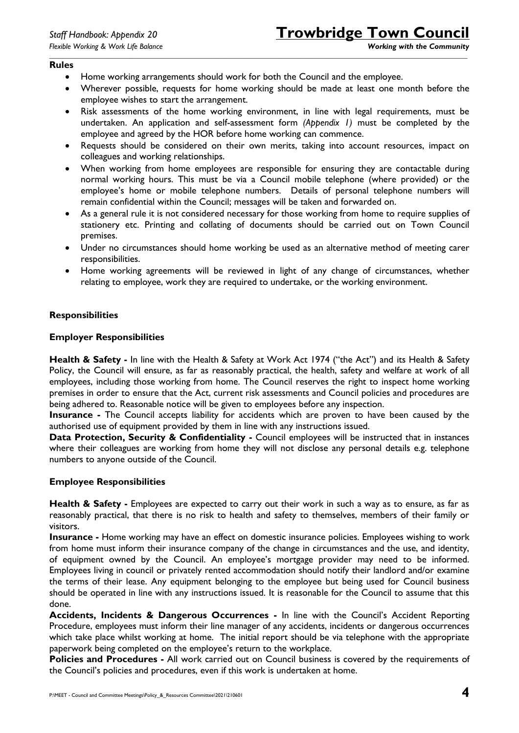#### **Rules**

- Home working arrangements should work for both the Council and the employee.
- Wherever possible, requests for home working should be made at least one month before the employee wishes to start the arrangement.

*\_\_\_\_\_\_\_\_\_\_\_\_\_\_\_\_\_\_\_\_\_\_\_\_\_\_\_\_\_\_\_\_\_\_\_\_\_\_\_\_\_\_\_\_\_\_\_\_\_\_\_\_\_\_\_\_\_\_\_\_\_\_\_\_\_\_\_\_\_\_\_\_\_\_\_\_\_\_\_\_\_\_\_\_\_\_\_\_\_\_\_\_\_\_\_\_\_\_\_\_\_\_\_\_\_\_\_\_\_\_\_\_\_\_\_\_\_\_\_\_*

- Risk assessments of the home working environment, in line with legal requirements, must be undertaken. An application and self-assessment form *(Appendix 1)* must be completed by the employee and agreed by the HOR before home working can commence.
- Requests should be considered on their own merits, taking into account resources, impact on colleagues and working relationships.
- When working from home employees are responsible for ensuring they are contactable during normal working hours. This must be via a Council mobile telephone (where provided) or the employee's home or mobile telephone numbers. Details of personal telephone numbers will remain confidential within the Council; messages will be taken and forwarded on.
- As a general rule it is not considered necessary for those working from home to require supplies of stationery etc. Printing and collating of documents should be carried out on Town Council premises.
- Under no circumstances should home working be used as an alternative method of meeting carer responsibilities.
- Home working agreements will be reviewed in light of any change of circumstances, whether relating to employee, work they are required to undertake, or the working environment.

#### **Responsibilities**

#### **Employer Responsibilities**

**Health & Safety -** In line with the Health & Safety at Work Act 1974 ("the Act") and its Health & Safety Policy, the Council will ensure, as far as reasonably practical, the health, safety and welfare at work of all employees, including those working from home. The Council reserves the right to inspect home working premises in order to ensure that the Act, current risk assessments and Council policies and procedures are being adhered to. Reasonable notice will be given to employees before any inspection.

**Insurance -** The Council accepts liability for accidents which are proven to have been caused by the authorised use of equipment provided by them in line with any instructions issued.

**Data Protection, Security & Confidentiality - Council employees will be instructed that in instances** where their colleagues are working from home they will not disclose any personal details e.g. telephone numbers to anyone outside of the Council.

#### **Employee Responsibilities**

**Health & Safety -** Employees are expected to carry out their work in such a way as to ensure, as far as reasonably practical, that there is no risk to health and safety to themselves, members of their family or visitors.

**Insurance -** Home working may have an effect on domestic insurance policies. Employees wishing to work from home must inform their insurance company of the change in circumstances and the use, and identity, of equipment owned by the Council. An employee's mortgage provider may need to be informed. Employees living in council or privately rented accommodation should notify their landlord and/or examine the terms of their lease. Any equipment belonging to the employee but being used for Council business should be operated in line with any instructions issued. It is reasonable for the Council to assume that this done.

**Accidents, Incidents & Dangerous Occurrences -** In line with the Council's Accident Reporting Procedure, employees must inform their line manager of any accidents, incidents or dangerous occurrences which take place whilst working at home. The initial report should be via telephone with the appropriate paperwork being completed on the employee's return to the workplace.

**Policies and Procedures -** All work carried out on Council business is covered by the requirements of the Council's policies and procedures, even if this work is undertaken at home.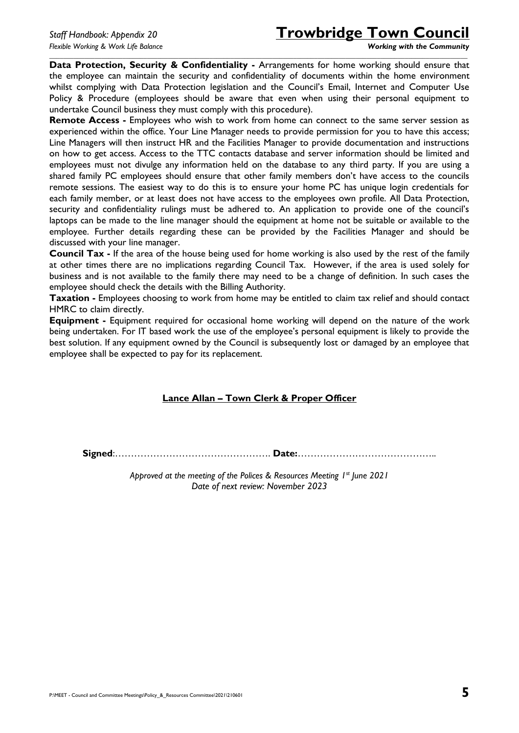# *Staff Handbook: Appendix 20* **Trowbridge Town Council**

**Data Protection, Security & Confidentiality -** Arrangements for home working should ensure that the employee can maintain the security and confidentiality of documents within the home environment whilst complying with Data Protection legislation and the Council's Email, Internet and Computer Use Policy & Procedure (employees should be aware that even when using their personal equipment to undertake Council business they must comply with this procedure).

*\_\_\_\_\_\_\_\_\_\_\_\_\_\_\_\_\_\_\_\_\_\_\_\_\_\_\_\_\_\_\_\_\_\_\_\_\_\_\_\_\_\_\_\_\_\_\_\_\_\_\_\_\_\_\_\_\_\_\_\_\_\_\_\_\_\_\_\_\_\_\_\_\_\_\_\_\_\_\_\_\_\_\_\_\_\_\_\_\_\_\_\_\_\_\_\_\_\_\_\_\_\_\_\_\_\_\_\_\_\_\_\_\_\_\_\_\_\_\_\_*

**Remote Access -** Employees who wish to work from home can connect to the same server session as experienced within the office. Your Line Manager needs to provide permission for you to have this access; Line Managers will then instruct HR and the Facilities Manager to provide documentation and instructions on how to get access. Access to the TTC contacts database and server information should be limited and employees must not divulge any information held on the database to any third party. If you are using a shared family PC employees should ensure that other family members don't have access to the councils remote sessions. The easiest way to do this is to ensure your home PC has unique login credentials for each family member, or at least does not have access to the employees own profile. All Data Protection, security and confidentiality rulings must be adhered to. An application to provide one of the council's laptops can be made to the line manager should the equipment at home not be suitable or available to the employee. Further details regarding these can be provided by the Facilities Manager and should be discussed with your line manager.

**Council Tax -** If the area of the house being used for home working is also used by the rest of the family at other times there are no implications regarding Council Tax. However, if the area is used solely for business and is not available to the family there may need to be a change of definition. In such cases the employee should check the details with the Billing Authority.

**Taxation -** Employees choosing to work from home may be entitled to claim tax relief and should contact HMRC to claim directly.

**Equipment -** Equipment required for occasional home working will depend on the nature of the work being undertaken. For IT based work the use of the employee's personal equipment is likely to provide the best solution. If any equipment owned by the Council is subsequently lost or damaged by an employee that employee shall be expected to pay for its replacement.

#### **Lance Allan – Town Clerk & Proper Officer**

**Signed**:…………………………………………. **Date:**……………………………………..

*Approved at the meeting of the Polices & Resources Meeting 1st June 2021 Date of next review: November 2023*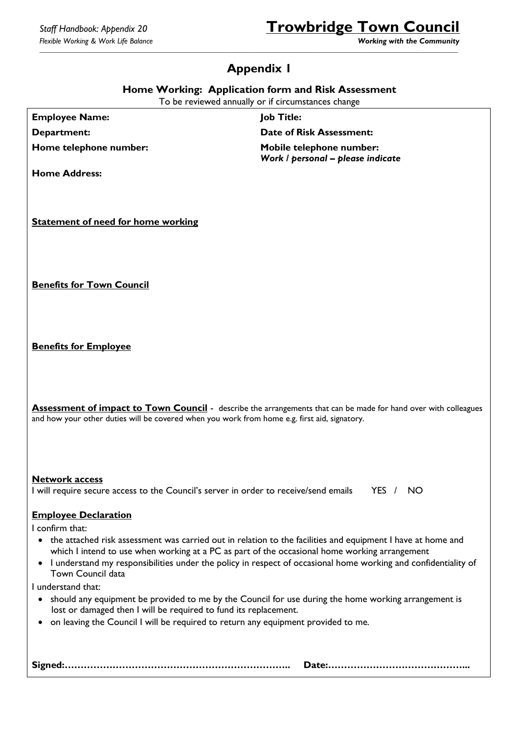# *Staff Handbook: Appendix 20* **Trowbridge Town Council**

<span id="page-5-0"></span>*\_\_\_\_\_\_\_\_\_\_\_\_\_\_\_\_\_\_\_\_\_\_\_\_\_\_\_\_\_\_\_\_\_\_\_\_\_\_\_\_\_\_\_\_\_\_\_\_\_\_\_\_\_\_\_\_\_\_\_\_\_\_\_\_\_\_\_\_\_\_\_\_\_\_\_\_\_\_\_\_\_\_\_\_\_\_\_\_\_\_\_\_\_\_\_\_\_\_\_\_\_\_\_\_\_\_\_\_\_\_\_\_\_\_\_\_\_\_\_\_*

## **Appendix 1**

**Home Working: Application form and Risk Assessment** 

To be reviewed annually or if circumstances change

**Employee Name: Job Title:**

**Department: Date of Risk Assessment:**

**Home telephone number: Mobile telephone number: Mobile telephone number:** *Work / personal – please indicate*

**Home Address:**

**Statement of need for home working**

**Benefits for Town Council**

**Benefits for Employee**

**Assessment of impact to Town Council** - describe the arrangements that can be made for hand over with colleagues and how your other duties will be covered when you work from home e.g. first aid, signatory.

#### **Network access**

I will require secure access to the Council's server in order to receive/send emails YES / NO

#### **Employee Declaration**

I confirm that:

- the attached risk assessment was carried out in relation to the facilities and equipment I have at home and which I intend to use when working at a PC as part of the occasional home working arrangement
- I understand my responsibilities under the policy in respect of occasional home working and confidentiality of Town Council data

I understand that:

- should any equipment be provided to me by the Council for use during the home working arrangement is lost or damaged then I will be required to fund its replacement.
- on leaving the Council I will be required to return any equipment provided to me.

|--|--|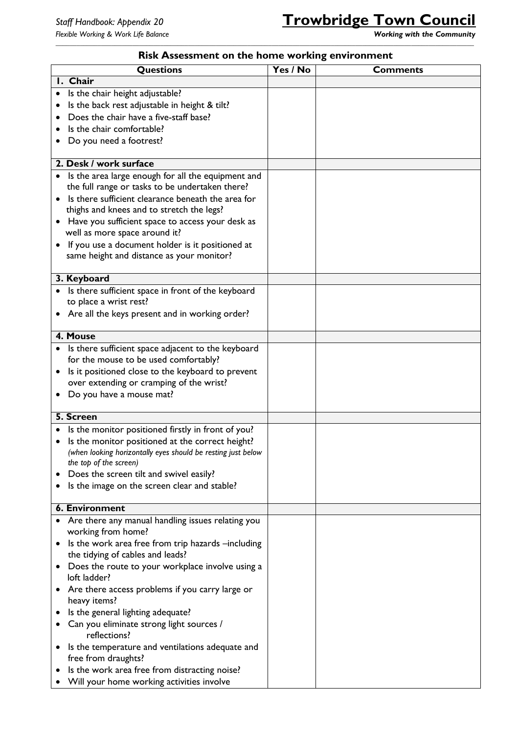| <b>Questions</b>                                                             | Yes / No | <b>Comments</b> |
|------------------------------------------------------------------------------|----------|-----------------|
| I. Chair                                                                     |          |                 |
| Is the chair height adjustable?<br>$\bullet$                                 |          |                 |
| Is the back rest adjustable in height & tilt?<br>٠                           |          |                 |
| Does the chair have a five-staff base?<br>$\bullet$                          |          |                 |
| Is the chair comfortable?                                                    |          |                 |
| Do you need a footrest?<br>٠                                                 |          |                 |
|                                                                              |          |                 |
| 2. Desk / work surface                                                       |          |                 |
| Is the area large enough for all the equipment and<br>٠                      |          |                 |
| the full range or tasks to be undertaken there?                              |          |                 |
| Is there sufficient clearance beneath the area for<br>$\bullet$              |          |                 |
| thighs and knees and to stretch the legs?                                    |          |                 |
| Have you sufficient space to access your desk as                             |          |                 |
| well as more space around it?                                                |          |                 |
| If you use a document holder is it positioned at<br>٠                        |          |                 |
| same height and distance as your monitor?                                    |          |                 |
| 3. Keyboard                                                                  |          |                 |
| Is there sufficient space in front of the keyboard<br>٠                      |          |                 |
| to place a wrist rest?                                                       |          |                 |
| • Are all the keys present and in working order?                             |          |                 |
|                                                                              |          |                 |
| 4. Mouse                                                                     |          |                 |
| Is there sufficient space adjacent to the keyboard<br>٠                      |          |                 |
| for the mouse to be used comfortably?                                        |          |                 |
| Is it positioned close to the keyboard to prevent<br>٠                       |          |                 |
| over extending or cramping of the wrist?                                     |          |                 |
| Do you have a mouse mat?<br>٠                                                |          |                 |
| 5. Screen                                                                    |          |                 |
| Is the monitor positioned firstly in front of you?                           |          |                 |
| Is the monitor positioned at the correct height?                             |          |                 |
| (when looking horizontally eyes should be resting just below                 |          |                 |
| the top of the screen)                                                       |          |                 |
| Does the screen tilt and swivel easily?<br>$\bullet$                         |          |                 |
| Is the image on the screen clear and stable?<br>٠                            |          |                 |
|                                                                              |          |                 |
| 6. Environment                                                               |          |                 |
| Are there any manual handling issues relating you<br>٠<br>working from home? |          |                 |
| Is the work area free from trip hazards -including<br>٠                      |          |                 |
| the tidying of cables and leads?                                             |          |                 |
| Does the route to your workplace involve using a<br>٠<br>loft ladder?        |          |                 |
| Are there access problems if you carry large or<br>٠<br>heavy items?         |          |                 |
| Is the general lighting adequate?<br>$\bullet$                               |          |                 |
| Can you eliminate strong light sources /<br>٠                                |          |                 |
| reflections?                                                                 |          |                 |
| Is the temperature and ventilations adequate and<br>٠                        |          |                 |
| free from draughts?                                                          |          |                 |
| Is the work area free from distracting noise?                                |          |                 |
| Will your home working activities involve                                    |          |                 |

#### *\_\_\_\_\_\_\_\_\_\_\_\_\_\_\_\_\_\_\_\_\_\_\_\_\_\_\_\_\_\_\_\_\_\_\_\_\_\_\_\_\_\_\_\_\_\_\_\_\_\_\_\_\_\_\_\_\_\_\_\_\_\_\_\_\_\_\_\_\_\_\_\_\_\_\_\_\_\_\_\_\_\_\_\_\_\_\_\_\_\_\_\_\_\_\_\_\_\_\_\_\_\_\_\_\_\_\_\_\_\_\_\_\_\_\_\_\_\_\_\_* **Risk Assessment on the home working environment**